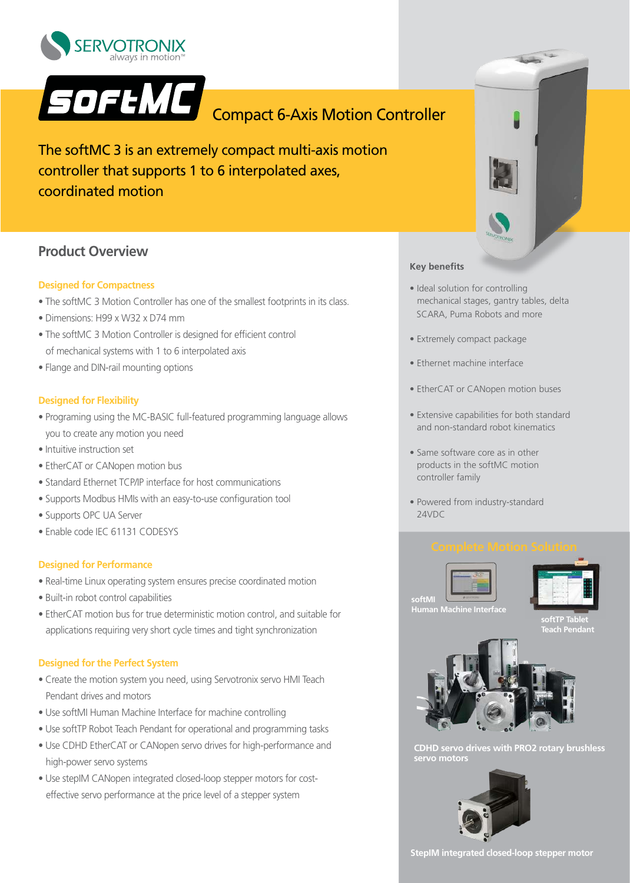



The softMC 3 is an extremely compact multi-axis motion controller that supports 1 to 6 interpolated axes, coordinated motion

# **Product Overview**

### **Designed for Compactness**

- The softMC 3 Motion Controller has one of the smallest footprints in its class.
- Dimensions: H99 x W32 x D74 mm
- The softMC 3 Motion Controller is designed for efficient control of mechanical systems with 1 to 6 interpolated axis
- Flange and DIN-rail mounting options

### **Designed for Flexibility**

- Programing using the MC-BASIC full-featured programming language allows you to create any motion you need
- Intuitive instruction set
- EtherCAT or CANopen motion bus
- Standard Ethernet TCP/IP interface for host communications
- Supports Modbus HMIs with an easy-to-use configuration tool
- Supports OPC UA Server
- Enable code IEC 61131 CODESYS

### **Designed for Performance**

- Real-time Linux operating system ensures precise coordinated motion
- Built-in robot control capabilities
- EtherCAT motion bus for true deterministic motion control, and suitable for applications requiring very short cycle times and tight synchronization

### **Designed for the Perfect System**

- Create the motion system you need, using Servotronix servo HMI Teach Pendant drives and motors
- Use softMI Human Machine Interface for machine controlling
- Use softTP Robot Teach Pendant for operational and programming tasks
- Use CDHD EtherCAT or CANopen servo drives for high-performance and high-power servo systems
- Use stepIM CANopen integrated closed-loop stepper motors for cost effective servo performance at the price level of a stepper system



### **Key benefits**

- Ideal solution for controlling mechanical stages, gantry tables, delta SCARA, Puma Robots and more
- Extremely compact package
- Ethernet machine interface
- EtherCAT or CANopen motion buses
- Extensive capabilities for both standard and non-standard robot kinematics
- Same software core as in other products in the softMC motion controller family
- Powered from industry-standard 24VDC



**softTP T Teach Pendant**



**CDHD servo drives with PRO2 rotary brushless servo motors**



**StepIM integrated closed-loop stepper motor**